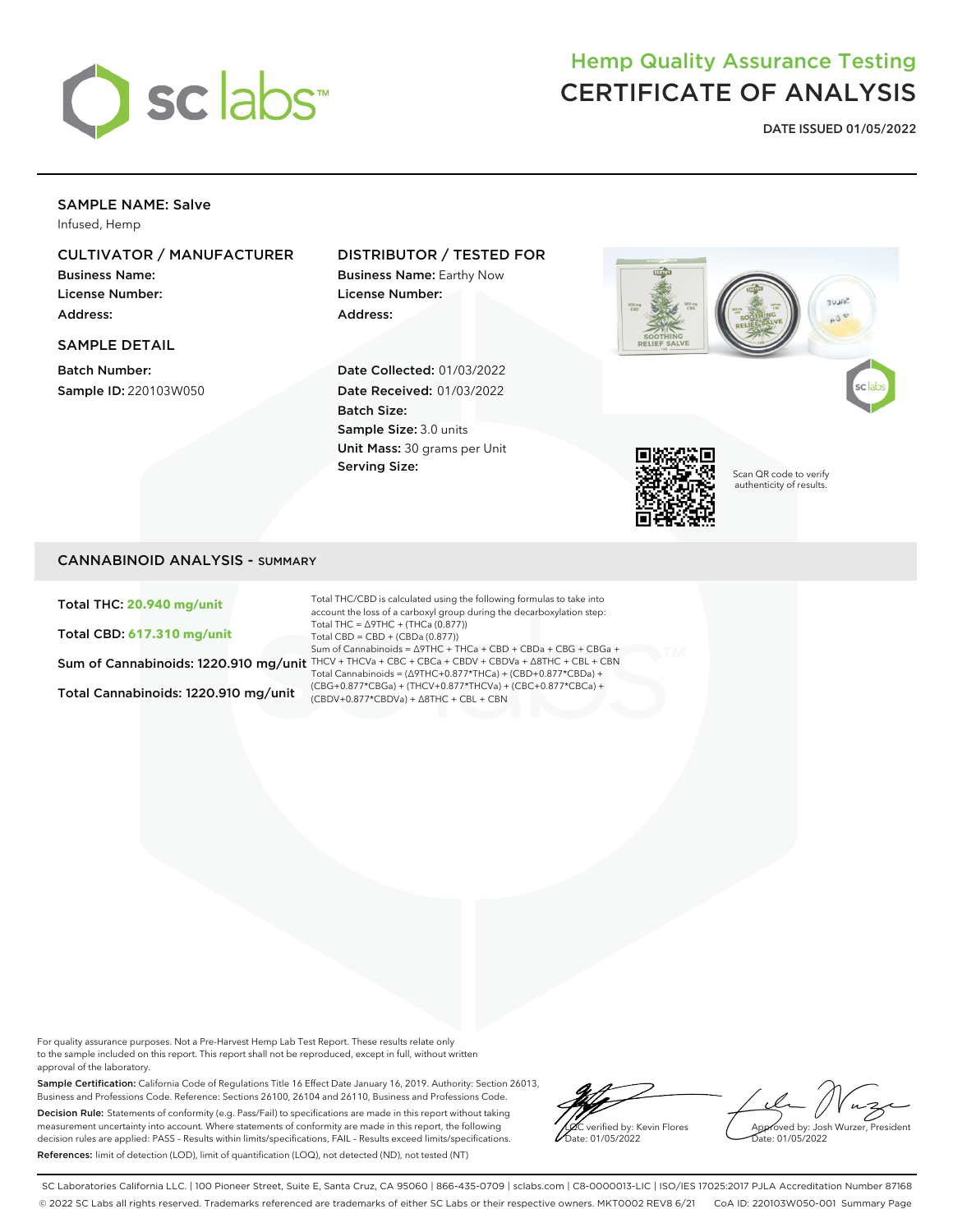

# Hemp Quality Assurance Testing CERTIFICATE OF ANALYSIS

**DATE ISSUED 01/05/2022**

# SAMPLE NAME: Salve

Infused, Hemp

# CULTIVATOR / MANUFACTURER

Business Name: License Number: Address:

#### SAMPLE DETAIL

Batch Number: Sample ID: 220103W050

## DISTRIBUTOR / TESTED FOR

Business Name: Earthy Now License Number: Address:

Date Collected: 01/03/2022 Date Received: 01/03/2022 Batch Size: Sample Size: 3.0 units Unit Mass: 30 grams per Unit Serving Size:





Scan QR code to verify authenticity of results.

# CANNABINOID ANALYSIS - SUMMARY

Total THC: **20.940 mg/unit**

Total CBD: **617.310 mg/unit**

Total Cannabinoids: 1220.910 mg/unit

Sum of Cannabinoids: 1220.910 mg/unit THCV + THCVa + CBC + CBCa + CBDV + CBDVa + ∆8THC + CBL + CBN Total THC/CBD is calculated using the following formulas to take into account the loss of a carboxyl group during the decarboxylation step: Total THC = ∆9THC + (THCa (0.877)) Total CBD = CBD + (CBDa (0.877)) Sum of Cannabinoids = ∆9THC + THCa + CBD + CBDa + CBG + CBGa + Total Cannabinoids = (∆9THC+0.877\*THCa) + (CBD+0.877\*CBDa) + (CBG+0.877\*CBGa) + (THCV+0.877\*THCVa) + (CBC+0.877\*CBCa) + (CBDV+0.877\*CBDVa) + ∆8THC + CBL + CBN

For quality assurance purposes. Not a Pre-Harvest Hemp Lab Test Report. These results relate only to the sample included on this report. This report shall not be reproduced, except in full, without written approval of the laboratory.

Sample Certification: California Code of Regulations Title 16 Effect Date January 16, 2019. Authority: Section 26013, Business and Professions Code. Reference: Sections 26100, 26104 and 26110, Business and Professions Code. Decision Rule: Statements of conformity (e.g. Pass/Fail) to specifications are made in this report without taking measurement uncertainty into account. Where statements of conformity are made in this report, the following decision rules are applied: PASS – Results within limits/specifications, FAIL – Results exceed limits/specifications. References: limit of detection (LOD), limit of quantification (LOQ), not detected (ND), not tested (NT)



Approved by: Josh Wurzer, President ate: 01/05/2022

SC Laboratories California LLC. | 100 Pioneer Street, Suite E, Santa Cruz, CA 95060 | 866-435-0709 | sclabs.com | C8-0000013-LIC | ISO/IES 17025:2017 PJLA Accreditation Number 87168 © 2022 SC Labs all rights reserved. Trademarks referenced are trademarks of either SC Labs or their respective owners. MKT0002 REV8 6/21 CoA ID: 220103W050-001 Summary Page